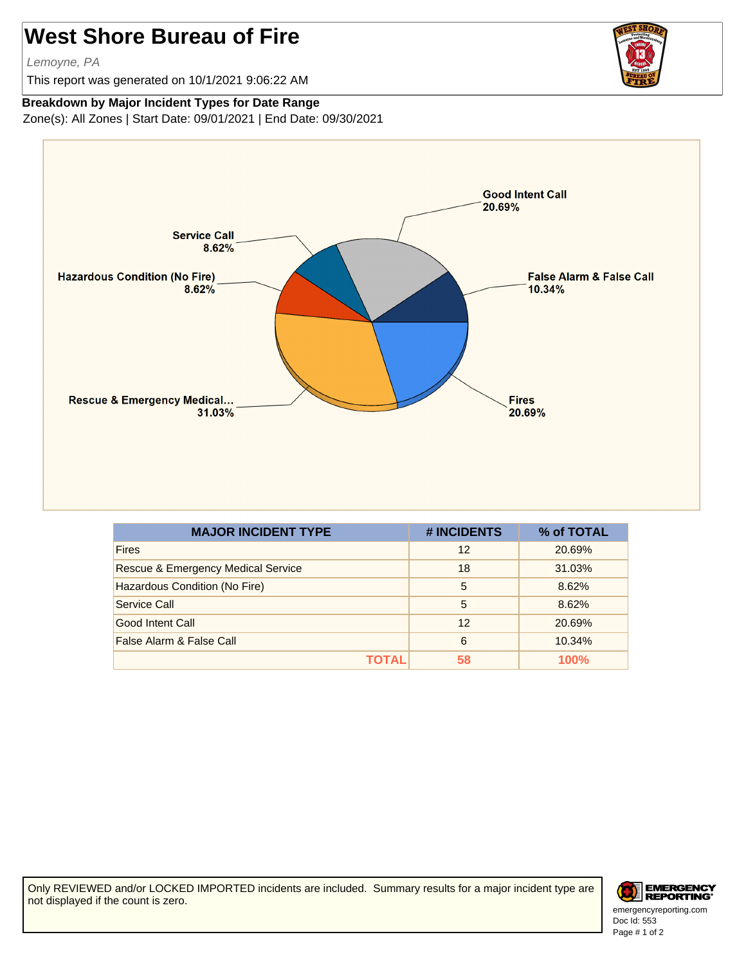## **West Shore Bureau of Fire**

Lemoyne, PA

This report was generated on 10/1/2021 9:06:22 AM

## **Breakdown by Major Incident Types for Date Range**

Zone(s): All Zones | Start Date: 09/01/2021 | End Date: 09/30/2021



| <b>MAJOR INCIDENT TYPE</b>                    | # INCIDENTS | % of TOTAL |
|-----------------------------------------------|-------------|------------|
| <b>Fires</b>                                  | 12          | 20.69%     |
| <b>Rescue &amp; Emergency Medical Service</b> | 18          | 31.03%     |
| Hazardous Condition (No Fire)                 | 5           | 8.62%      |
| Service Call                                  | 5           | 8.62%      |
| Good Intent Call                              | 12          | 20.69%     |
| False Alarm & False Call                      | 6           | 10.34%     |
| ΤΩΤΑΙ                                         | 58          | 100%       |

Only REVIEWED and/or LOCKED IMPORTED incidents are included. Summary results for a major incident type are not displayed if the count is zero.



Doc Id: 553 emergencyreporting.com Page # 1 of 2